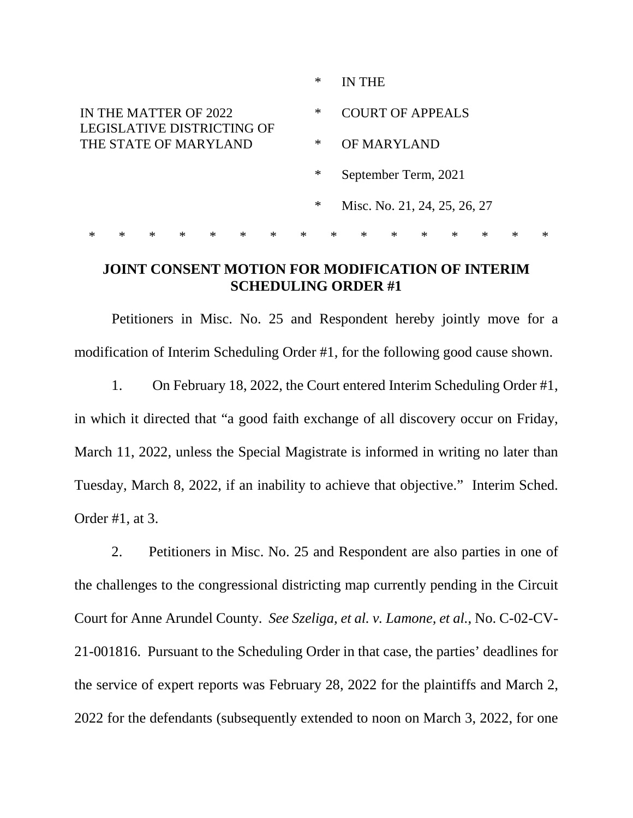|                                                                              |        |        |        |        |        |        |        | ∗<br>IN THE                  |        |                              |        |        |        |        |        |        |  |
|------------------------------------------------------------------------------|--------|--------|--------|--------|--------|--------|--------|------------------------------|--------|------------------------------|--------|--------|--------|--------|--------|--------|--|
| IN THE MATTER OF 2022<br>LEGISLATIVE DISTRICTING OF<br>THE STATE OF MARYLAND |        |        |        |        |        |        |        | ∗                            |        | <b>COURT OF APPEALS</b>      |        |        |        |        |        |        |  |
|                                                                              |        |        |        |        |        |        |        | $\ast$<br><b>OF MARYLAND</b> |        |                              |        |        |        |        |        |        |  |
|                                                                              |        |        |        |        |        |        |        | ∗                            |        | September Term, 2021         |        |        |        |        |        |        |  |
|                                                                              |        |        |        |        |        |        |        | $\ast$                       |        | Misc. No. 21, 24, 25, 26, 27 |        |        |        |        |        |        |  |
| $\ast$                                                                       | $\ast$ | $\ast$ | $\ast$ | $\ast$ | $\ast$ | $\ast$ | $\ast$ |                              | $\ast$ | $\ast$                       | $\ast$ | $\ast$ | $\ast$ | $\ast$ | $\ast$ | $\ast$ |  |

## **JOINT CONSENT MOTION FOR MODIFICATION OF INTERIM SCHEDULING ORDER #1**

Petitioners in Misc. No. 25 and Respondent hereby jointly move for a modification of Interim Scheduling Order #1, for the following good cause shown.

1. On February 18, 2022, the Court entered Interim Scheduling Order #1, in which it directed that "a good faith exchange of all discovery occur on Friday, March 11, 2022, unless the Special Magistrate is informed in writing no later than Tuesday, March 8, 2022, if an inability to achieve that objective." Interim Sched. Order #1, at 3.

2. Petitioners in Misc. No. 25 and Respondent are also parties in one of the challenges to the congressional districting map currently pending in the Circuit Court for Anne Arundel County. *See Szeliga, et al. v. Lamone, et al.*, No. C-02-CV-21-001816. Pursuant to the Scheduling Order in that case, the parties' deadlines for the service of expert reports was February 28, 2022 for the plaintiffs and March 2, 2022 for the defendants (subsequently extended to noon on March 3, 2022, for one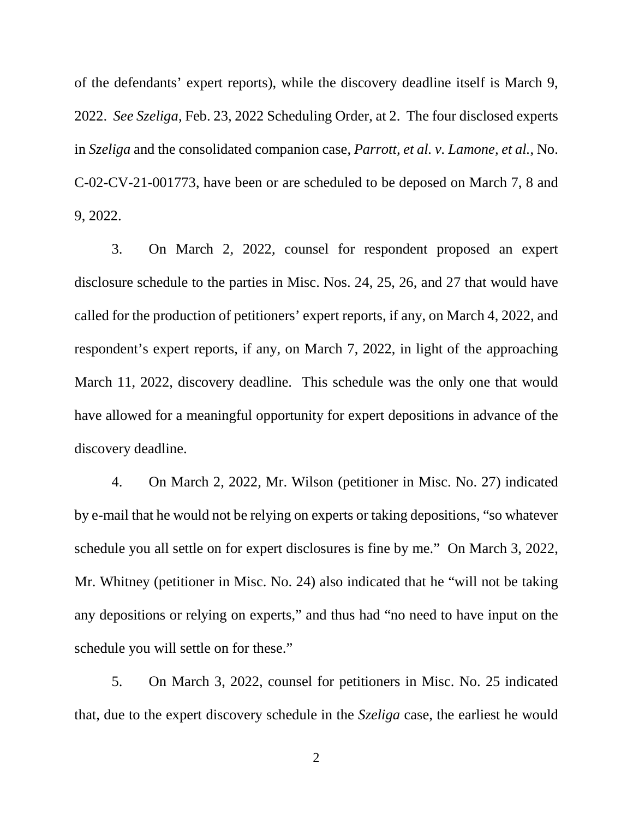of the defendants' expert reports), while the discovery deadline itself is March 9, 2022. *See Szeliga*, Feb. 23, 2022 Scheduling Order, at 2. The four disclosed experts in *Szeliga* and the consolidated companion case, *Parrott, et al. v. Lamone, et al.*, No. C-02-CV-21-001773, have been or are scheduled to be deposed on March 7, 8 and 9, 2022.

3. On March 2, 2022, counsel for respondent proposed an expert disclosure schedule to the parties in Misc. Nos. 24, 25, 26, and 27 that would have called for the production of petitioners' expert reports, if any, on March 4, 2022, and respondent's expert reports, if any, on March 7, 2022, in light of the approaching March 11, 2022, discovery deadline. This schedule was the only one that would have allowed for a meaningful opportunity for expert depositions in advance of the discovery deadline.

4. On March 2, 2022, Mr. Wilson (petitioner in Misc. No. 27) indicated by e-mail that he would not be relying on experts or taking depositions, "so whatever schedule you all settle on for expert disclosures is fine by me." On March 3, 2022, Mr. Whitney (petitioner in Misc. No. 24) also indicated that he "will not be taking any depositions or relying on experts," and thus had "no need to have input on the schedule you will settle on for these."

5. On March 3, 2022, counsel for petitioners in Misc. No. 25 indicated that, due to the expert discovery schedule in the *Szeliga* case, the earliest he would

2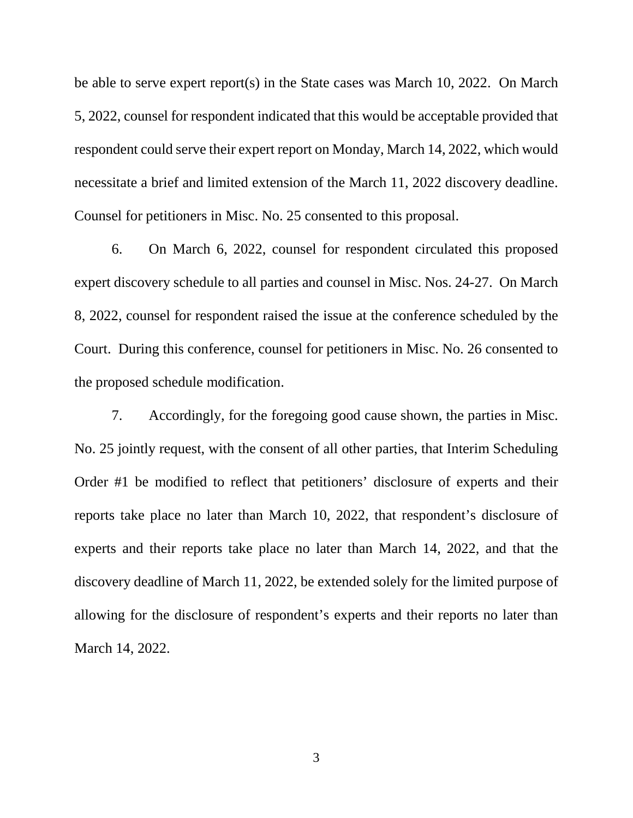be able to serve expert report(s) in the State cases was March 10, 2022. On March 5, 2022, counsel for respondent indicated that this would be acceptable provided that respondent could serve their expert report on Monday, March 14, 2022, which would necessitate a brief and limited extension of the March 11, 2022 discovery deadline. Counsel for petitioners in Misc. No. 25 consented to this proposal.

6. On March 6, 2022, counsel for respondent circulated this proposed expert discovery schedule to all parties and counsel in Misc. Nos. 24-27. On March 8, 2022, counsel for respondent raised the issue at the conference scheduled by the Court. During this conference, counsel for petitioners in Misc. No. 26 consented to the proposed schedule modification.

7. Accordingly, for the foregoing good cause shown, the parties in Misc. No. 25 jointly request, with the consent of all other parties, that Interim Scheduling Order #1 be modified to reflect that petitioners' disclosure of experts and their reports take place no later than March 10, 2022, that respondent's disclosure of experts and their reports take place no later than March 14, 2022, and that the discovery deadline of March 11, 2022, be extended solely for the limited purpose of allowing for the disclosure of respondent's experts and their reports no later than March 14, 2022.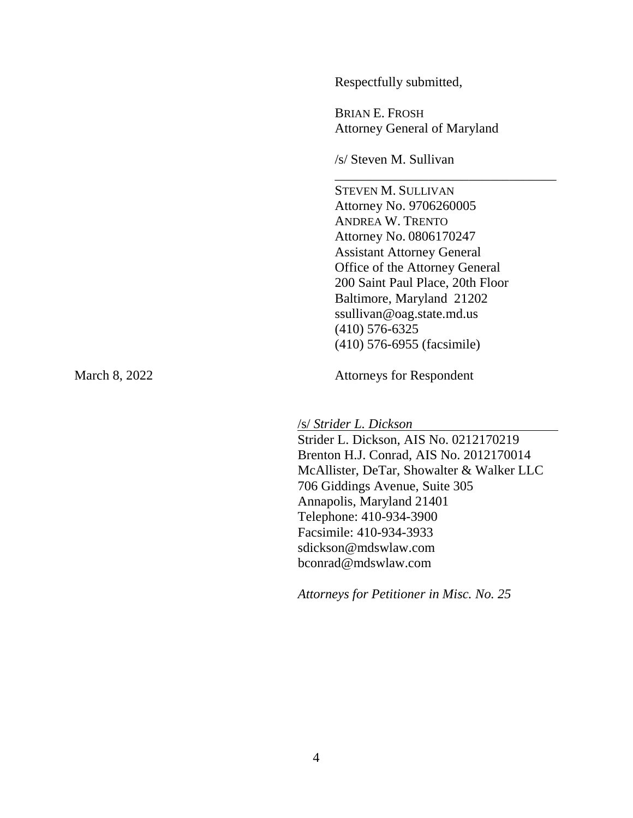Respectfully submitted,

BRIAN E. FROSH Attorney General of Maryland

\_\_\_\_\_\_\_\_\_\_\_\_\_\_\_\_\_\_\_\_\_\_\_\_\_\_\_\_\_\_\_\_\_

/s/ Steven M. Sullivan

STEVEN M. SULLIVAN Attorney No. 9706260005 ANDREA W. TRENTO Attorney No. 0806170247 Assistant Attorney General Office of the Attorney General 200 Saint Paul Place, 20th Floor Baltimore, Maryland 21202 ssullivan@oag.state.md.us (410) 576-6325 (410) 576-6955 (facsimile)

March 8, 2022 Attorneys for Respondent

/s/ *Strider L. Dickson*

Strider L. Dickson, AIS No. 0212170219 Brenton H.J. Conrad, AIS No. 2012170014 McAllister, DeTar, Showalter & Walker LLC 706 Giddings Avenue, Suite 305 Annapolis, Maryland 21401 Telephone: 410-934-3900 Facsimile: 410-934-3933 sdickson@mdswlaw.com bconrad@mdswlaw.com

*Attorneys for Petitioner in Misc. No. 25*